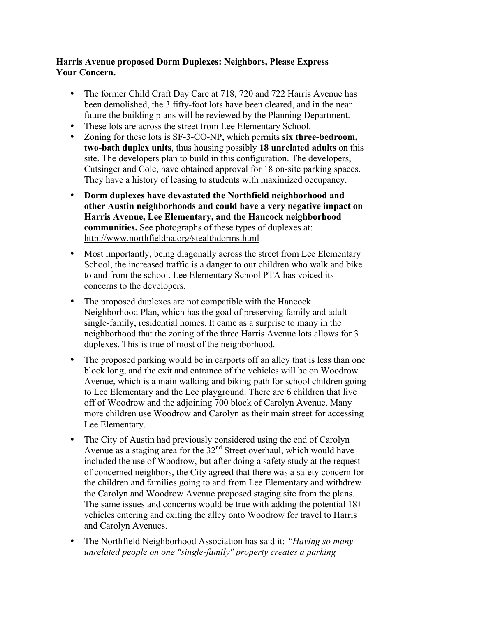## **Harris Avenue proposed Dorm Duplexes: Neighbors, Please Express Your Concern.**

- The former Child Craft Day Care at 718, 720 and 722 Harris Avenue has been demolished, the 3 fifty-foot lots have been cleared, and in the near future the building plans will be reviewed by the Planning Department.
- These lots are across the street from Lee Elementary School.
- Zoning for these lots is SF-3-CO-NP, which permits **six three-bedroom, two-bath duplex units**, thus housing possibly **18 unrelated adults** on this site. The developers plan to build in this configuration. The developers, Cutsinger and Cole, have obtained approval for 18 on-site parking spaces. They have a history of leasing to students with maximized occupancy.
- **Dorm duplexes have devastated the Northfield neighborhood and other Austin neighborhoods and could have a very negative impact on Harris Avenue, Lee Elementary, and the Hancock neighborhood communities.** See photographs of these types of duplexes at: http://www.northfieldna.org/stealthdorms.html
- Most importantly, being diagonally across the street from Lee Elementary School, the increased traffic is a danger to our children who walk and bike to and from the school. Lee Elementary School PTA has voiced its concerns to the developers.
- The proposed duplexes are not compatible with the Hancock Neighborhood Plan, which has the goal of preserving family and adult single-family, residential homes. It came as a surprise to many in the neighborhood that the zoning of the three Harris Avenue lots allows for 3 duplexes. This is true of most of the neighborhood.
- The proposed parking would be in carports off an alley that is less than one block long, and the exit and entrance of the vehicles will be on Woodrow Avenue, which is a main walking and biking path for school children going to Lee Elementary and the Lee playground. There are 6 children that live off of Woodrow and the adjoining 700 block of Carolyn Avenue. Many more children use Woodrow and Carolyn as their main street for accessing Lee Elementary.
- The City of Austin had previously considered using the end of Carolyn Avenue as a staging area for the  $32<sup>nd</sup>$  Street overhaul, which would have included the use of Woodrow, but after doing a safety study at the request of concerned neighbors, the City agreed that there was a safety concern for the children and families going to and from Lee Elementary and withdrew the Carolyn and Woodrow Avenue proposed staging site from the plans. The same issues and concerns would be true with adding the potential 18+ vehicles entering and exiting the alley onto Woodrow for travel to Harris and Carolyn Avenues.
- The Northfield Neighborhood Association has said it: *"Having so many unrelated people on one "single-family" property creates a parking*